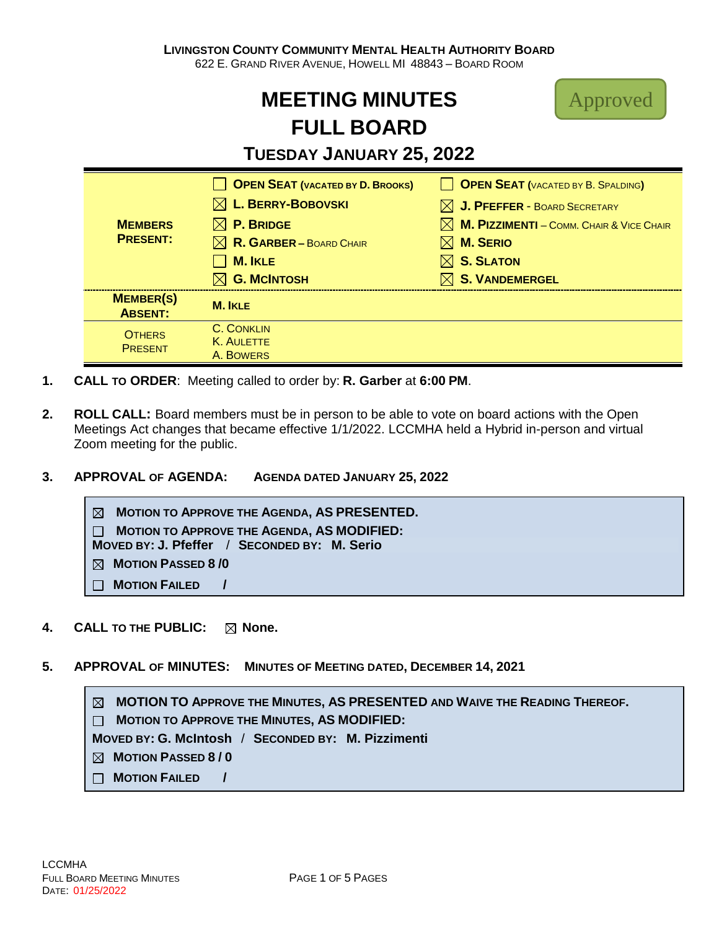# **MEETING MINUTES FULL BOARD**



# **TUESDAY JANUARY 25, 2022**

| <b>MEMBERS</b><br><b>PRESENT:</b>  | <b>OPEN SEAT (VACATED BY D. BROOKS)</b> | OPEN SEAT (VACATED BY B. SPALDING)                          |
|------------------------------------|-----------------------------------------|-------------------------------------------------------------|
|                                    | $\boxtimes$ L. BERRY-BOBOVSKI           | $\boxtimes$ J. PFEFFER - BOARD SECRETARY                    |
|                                    | $\boxtimes$ P. Bridge                   | $\boxtimes$ <b>M. PIZZIMENTI</b> - COMM. CHAIR & VICE CHAIR |
|                                    | $\boxtimes$ R. GARBER – BOARD CHAIR     | $\boxtimes$ M. Serio                                        |
|                                    | <b>M. IKLE</b>                          | $\boxtimes$ S. Slaton                                       |
|                                    | <b>G. MCINTOSH</b>                      | $\boxtimes$ S. VANDEMERGEL                                  |
| <b>MEMBER(S)</b><br><b>ABSENT:</b> | <b>M. IKLE</b>                          |                                                             |
| <b>OTHERS</b><br><b>PRESENT</b>    | C. CONKLIN                              |                                                             |
|                                    | K. AULETTE<br>A. BOWERS                 |                                                             |
|                                    |                                         |                                                             |

- **1. CALL TO ORDER**: Meeting called to order by: **R. Garber** at **6:00 PM**.
- **2. ROLL CALL:** Board members must be in person to be able to vote on board actions with the Open Meetings Act changes that became effective 1/1/2022. LCCMHA held a Hybrid in-person and virtual Zoom meeting for the public.
- **3. APPROVAL OF AGENDA: AGENDA DATED JANUARY 25, 2022**

 **MOTION TO APPROVE THE AGENDA, AS PRESENTED. MOTION TO APPROVE THE AGENDA, AS MODIFIED: MOVED BY: J. Pfeffer** / **SECONDED BY: M. Serio MOTION PASSED 8 /0 MOTION FAILED /**

- **4. CALL TO THE PUBLIC:**  $\boxtimes$  None.
- **5. APPROVAL OF MINUTES: MINUTES OF MEETING DATED, DECEMBER 14, 2021**

 **MOTION TO APPROVE THE MINUTES, AS PRESENTED AND WAIVE THE READING THEREOF. MOTION TO APPROVE THE MINUTES, AS MODIFIED: MOVED BY: G. McIntosh** / **SECONDED BY: M. Pizzimenti MOTION PASSED 8 / 0 MOTION FAILED /**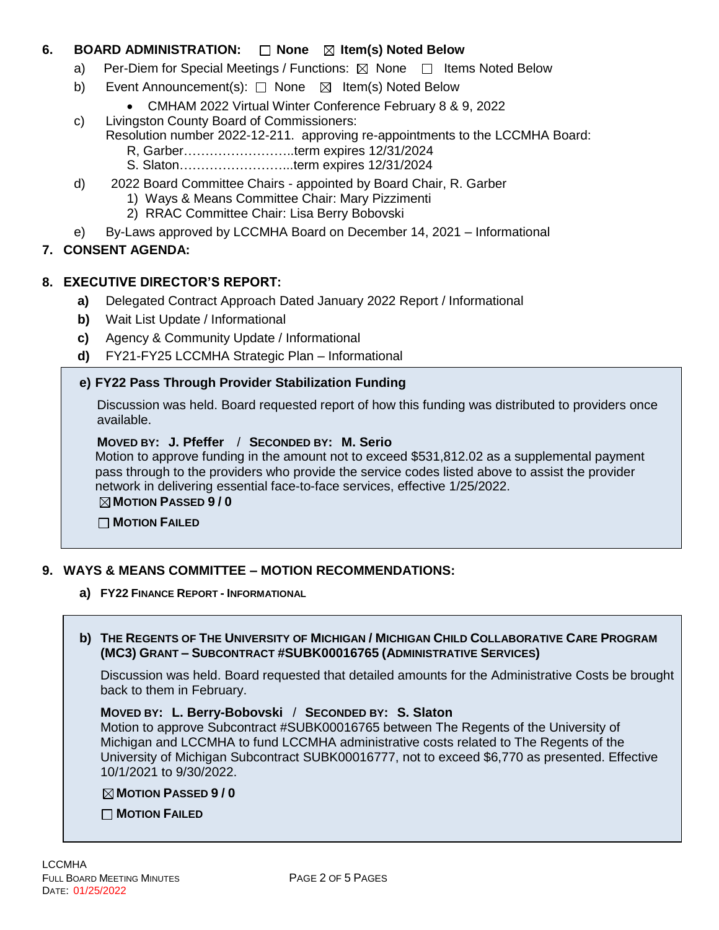# **6. BOARD ADMINISTRATION:**  $\Box$  **None**  $\boxtimes$  **Item(s)** Noted Below

- a) Per-Diem for Special Meetings / Functions:  $\boxtimes$  None  $\Box$  Items Noted Below
- b) Event Announcement(s): □ None ⊠ Item(s) Noted Below
	- CMHAM 2022 Virtual Winter Conference February 8 & 9, 2022
- c) Livingston County Board of Commissioners:
	- Resolution number 2022-12-211. approving re-appointments to the LCCMHA Board:
		- R, Garber……………………..term expires 12/31/2024
		- S. Slaton……………………...term expires 12/31/2024
- d) 2022 Board Committee Chairs appointed by Board Chair, R. Garber
	- 1) Ways & Means Committee Chair: Mary Pizzimenti
	- 2) RRAC Committee Chair: Lisa Berry Bobovski
- e) By-Laws approved by LCCMHA Board on December 14, 2021 Informational

### **7. CONSENT AGENDA:**

### **8. EXECUTIVE DIRECTOR'S REPORT:**

- **a)** Delegated Contract Approach Dated January 2022 Report / Informational
- **b)** Wait List Update / Informational
- **c)** Agency & Community Update / Informational
- **d)** FY21-FY25 LCCMHA Strategic Plan Informational

### **e) FY22 Pass Through Provider Stabilization Funding**

Discussion was held. Board requested report of how this funding was distributed to providers once available.

### **MOVED BY: J. Pfeffer** / **SECONDED BY: M. Serio**

Motion to approve funding in the amount not to exceed \$531,812.02 as a supplemental payment pass through to the providers who provide the service codes listed above to assist the provider network in delivering essential face-to-face services, effective 1/25/2022. **MOTION PASSED 9 / 0**

 **MOTION FAILED**

### **9. WAYS & MEANS COMMITTEE – MOTION RECOMMENDATIONS:**

**a) FY22 FINANCE REPORT - INFORMATIONAL**

### b) THE REGENTS OF THE UNIVERSITY OF MICHIGAN / MICHIGAN CHILD COLLABORATIVE CARE PROGRAM **(MC3) GRANT – SUBCONTRACT #SUBK00016765 (ADMINISTRATIVE SERVICES)**

Discussion was held. Board requested that detailed amounts for the Administrative Costs be brought back to them in February.

### **MOVED BY: L. Berry-Bobovski** / **SECONDED BY: S. Slaton**

Motion to approve Subcontract #SUBK00016765 between The Regents of the University of Michigan and LCCMHA to fund LCCMHA administrative costs related to The Regents of the University of Michigan Subcontract SUBK00016777, not to exceed \$6,770 as presented. Effective 10/1/2021 to 9/30/2022.

### **MOTION PASSED 9 / 0**

**MOTION FAILED**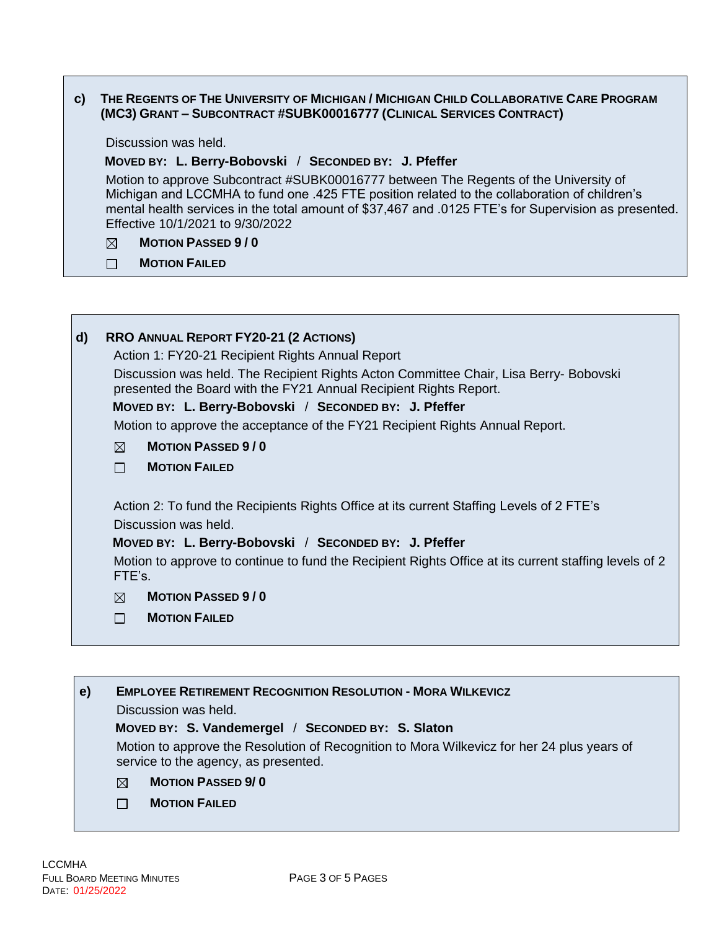### c) THE REGENTS OF THE UNIVERSITY OF MICHIGAN / MICHIGAN CHILD COLLABORATIVE CARE PROGRAM **(MC3) GRANT – SUBCONTRACT #SUBK00016777 (CLINICAL SERVICES CONTRACT)**

Discussion was held.

### **MOVED BY: L. Berry-Bobovski** / **SECONDED BY: J. Pfeffer**

Motion to approve Subcontract #SUBK00016777 between The Regents of the University of Michigan and LCCMHA to fund one .425 FTE position related to the collaboration of children's mental health services in the total amount of \$37,467 and .0125 FTE's for Supervision as presented. Effective 10/1/2021 to 9/30/2022

#### $\boxtimes$ **MOTION PASSED 9 / 0**

 $\Box$ **MOTION FAILED**

| $\mathsf{d}$<br><b>RRO ANNUAL REPORT FY20-21 (2 ACTIONS)</b>                                                                                               |  |  |
|------------------------------------------------------------------------------------------------------------------------------------------------------------|--|--|
| Action 1: FY20-21 Recipient Rights Annual Report                                                                                                           |  |  |
| Discussion was held. The Recipient Rights Acton Committee Chair, Lisa Berry- Bobovski<br>presented the Board with the FY21 Annual Recipient Rights Report. |  |  |
| MOVED BY: L. Berry-Bobovski / SECONDED BY: J. Pfeffer                                                                                                      |  |  |
| Motion to approve the acceptance of the FY21 Recipient Rights Annual Report.                                                                               |  |  |
| <b>MOTION PASSED 9/0</b><br>⊠                                                                                                                              |  |  |
| <b>MOTION FAILED</b><br>П                                                                                                                                  |  |  |
| Action 2: To fund the Recipients Rights Office at its current Staffing Levels of 2 FTE's<br>Discussion was held.                                           |  |  |
| MOVED BY: L. Berry-Bobovski / SECONDED BY: J. Pfeffer                                                                                                      |  |  |
| Motion to approve to continue to fund the Recipient Rights Office at its current staffing levels of 2<br>FTE's.                                            |  |  |
| <b>MOTION PASSED 9/0</b><br>⊠                                                                                                                              |  |  |
| <b>MOTION FAILED</b><br>П                                                                                                                                  |  |  |
|                                                                                                                                                            |  |  |

**e) EMPLOYEE RETIREMENT RECOGNITION RESOLUTION - MORA WILKEVICZ** Discussion was held.  **MOVED BY: S. Vandemergel** / **SECONDED BY: S. Slaton** Motion to approve the Resolution of Recognition to Mora Wilkevicz for her 24 plus years of service to the agency, as presented. **MOTION PASSED 9/ 0**  $\boxtimes$  $\Box$ **MOTION FAILED**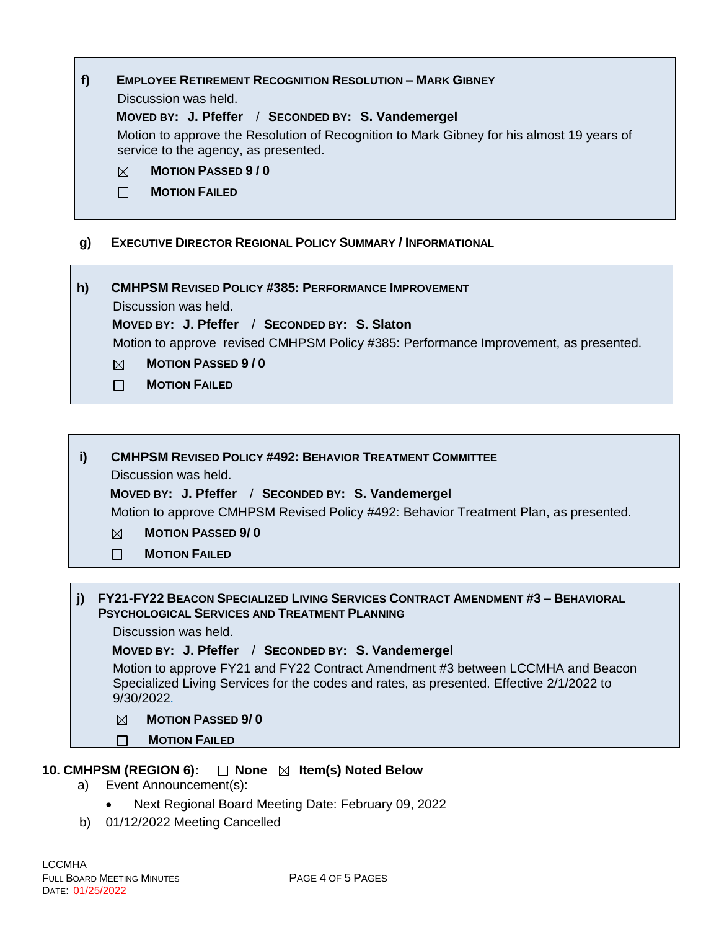# **f) EMPLOYEE RETIREMENT RECOGNITION RESOLUTION – MARK GIBNEY**

Discussion was held.

# **MOVED BY: J. Pfeffer** / **SECONDED BY: S. Vandemergel**

Motion to approve the Resolution of Recognition to Mark Gibney for his almost 19 years of service to the agency, as presented.

#### **MOTION PASSED 9 / 0**  $\boxtimes$

 $\Box$ **MOTION FAILED**

# **g) EXECUTIVE DIRECTOR REGIONAL POLICY SUMMARY / INFORMATIONAL**

**h) CMHPSM REVISED POLICY #385: PERFORMANCE IMPROVEMENT** Discussion was held.

### **MOVED BY: J. Pfeffer** / **SECONDED BY: S. Slaton**

Motion to approve revised CMHPSM Policy #385: Performance Improvement, as presented.

- $\boxtimes$ **MOTION PASSED 9 / 0**
- **MOTION FAILED**  $\Box$

# **i) CMHPSM REVISED POLICY #492: BEHAVIOR TREATMENT COMMITTEE**

Discussion was held.

### **MOVED BY: J. Pfeffer** / **SECONDED BY: S. Vandemergel**

Motion to approve CMHPSM Revised Policy #492: Behavior Treatment Plan, as presented.

- $\boxtimes$ **MOTION PASSED 9/ 0**
- $\Box$ **MOTION FAILED**

### **j) FY21-FY22 BEACON SPECIALIZED LIVING SERVICES CONTRACT AMENDMENT #3 – BEHAVIORAL PSYCHOLOGICAL SERVICES AND TREATMENT PLANNING**

Discussion was held.

### **MOVED BY: J. Pfeffer** / **SECONDED BY: S. Vandemergel**

Motion to approve FY21 and FY22 Contract Amendment #3 between LCCMHA and Beacon Specialized Living Services for the codes and rates, as presented. Effective 2/1/2022 to 9/30/2022**.**

#### $\boxtimes$ **MOTION PASSED 9/ 0**

**MOTION FAILED**

# **10. CMHPSM (REGION 6): □ None ⊠ Item(s) Noted Below**

- a) Event Announcement(s):
	- Next Regional Board Meeting Date: February 09, 2022
- b) 01/12/2022 Meeting Cancelled